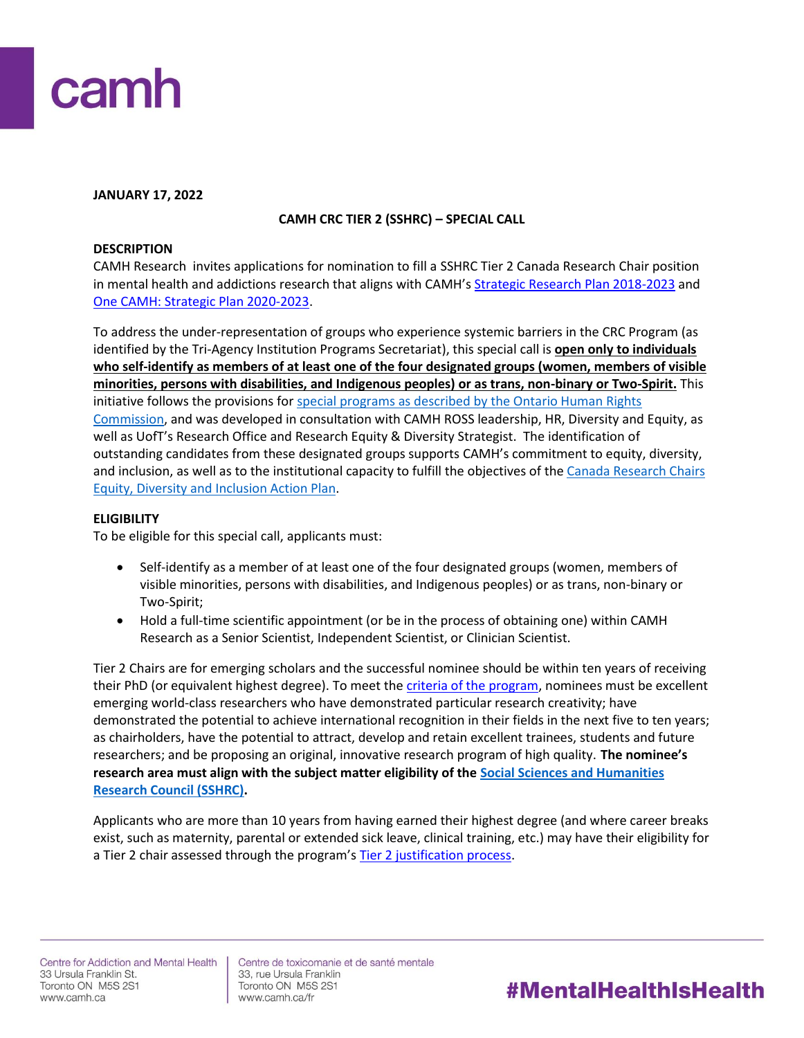

#### **JANUARY 17, 2022**

# **CAMH CRC TIER 2 (SSHRC) – SPECIAL CALL**

#### **DESCRIPTION**

CAMH Research invites applications for nomination to fill a SSHRC Tier 2 Canada Research Chair position in mental health and addictions research that aligns with CAMH's [Strategic Research Plan 2018-2023](http://www.camhx.ca/Publications/CAMHResearchPlan/index.html) and [One CAMH: Strategic Plan 2020-2023.](https://www.camh.ca/en/driving-change/about-camh/one-camh-strategic-plan-2020-2023)

To address the under-representation of groups who experience systemic barriers in the CRC Program (as identified by the Tri-Agency Institution Programs Secretariat), this special call is **open only to individuals who self-identify as members of at least one of the four designated groups (women, members of visible minorities, persons with disabilities, and Indigenous peoples) or as trans, non-binary or Two-Spirit.** This initiative follows the provisions for special programs as described by the Ontario Human Rights [Commission,](http://www.ohrc.on.ca/en/your-guide-special-programs-and-human-rights-code) and was developed in consultation with CAMH ROSS leadership, HR, Diversity and Equity, as well as UofT's Research Office and Research Equity & Diversity Strategist. The identification of outstanding candidates from these designated groups supports CAMH's commitment to equity, diversity, and inclusion, as well as to the institutional capacity to fulfill the objectives of the Canada Research Chairs [Equity, Diversity and Inclusion Action Plan.](https://www.camh.ca/en/science-and-research/science-and-research-staff-directory/research-chairs)

#### **ELIGIBILITY**

To be eligible for this special call, applicants must:

- Self-identify as a member of at least one of the four designated groups (women, members of visible minorities, persons with disabilities, and Indigenous peoples) or as trans, non-binary or Two-Spirit;
- Hold a full-time scientific appointment (or be in the process of obtaining one) within CAMH Research as a Senior Scientist, Independent Scientist, or Clinician Scientist.

Tier 2 Chairs are for emerging scholars and the successful nominee should be within ten years of receiving their PhD (or equivalent highest degree). To meet the *criteria of the program*, nominees must be excellent emerging world-class researchers who have demonstrated particular research creativity; have demonstrated the potential to achieve international recognition in their fields in the next five to ten years; as chairholders, have the potential to attract, develop and retain excellent trainees, students and future researchers; and be proposing an original, innovative research program of high quality. **The nominee's research area must align with the subject matter eligibility of th[e Social Sciences and Humanities](https://www.sshrc-crsh.gc.ca/home-accueil-eng.aspx)  [Research Council \(SSHRC\).](https://www.sshrc-crsh.gc.ca/home-accueil-eng.aspx)**

Applicants who are more than 10 years from having earned their highest degree (and where career breaks exist, such as maternity, parental or extended sick leave, clinical training, etc.) may have their eligibility for a Tier 2 chair assessed through the program's [Tier 2 justification process.](http://www.chairs-chaires.gc.ca/program-programme/nomination-mise_en_candidature-eng.aspx#s3)

Centre de toxicomanie et de santé mentale 33, rue Ursula Franklin Toronto ON M5S 2S1 www.camh.ca/fr

# #MentalHealthIsHealth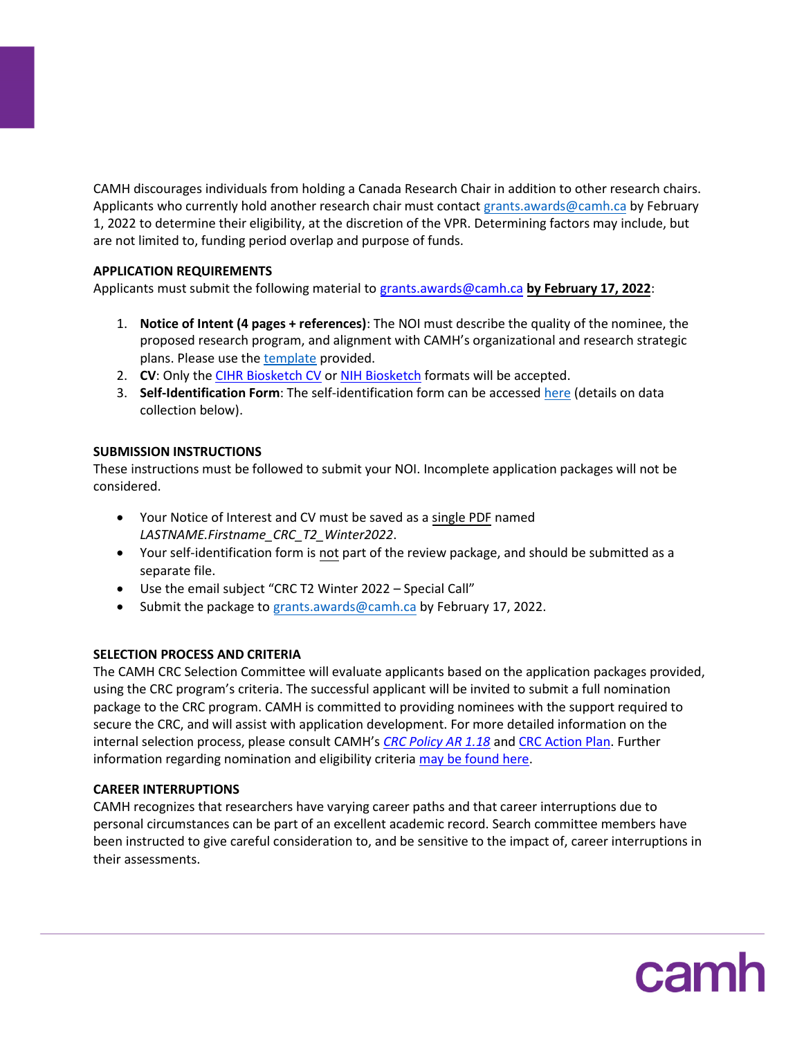CAMH discourages individuals from holding a Canada Research Chair in addition to other research chairs. Applicants who currently hold another research chair must contact [grants.awards@camh.ca](mailto:grants.awards@camh.ca) by February 1, 2022 to determine their eligibility, at the discretion of the VPR. Determining factors may include, but are not limited to, funding period overlap and purpose of funds.

# **APPLICATION REQUIREMENTS**

Applicants must submit the following material to [grants.awards@camh.ca](mailto:grants.awards@camh.ca?subject=CRC%20T2%20Fall%202021%20-%20Special%20Call) **by February 17, 2022**:

- 1. **Notice of Intent (4 pages + references)**: The NOI must describe the quality of the nominee, the proposed research program, and alignment with CAMH's organizational and research strategic plans. Please use th[e template](http://ishare.camh.ca/sites/RSO/services/grants/Documents/Grants%20-%20CRC%20T2_NOI%20Template_FINAL.docx) provided.
- 2. **CV**: Only the [CIHR Biosketch CV](https://cihr-irsc.gc.ca/e/48437.html) o[r NIH Biosketch](https://grants.nih.gov/grants/forms/biosketch.htm) formats will be accepted.
- 3. **Self-Identification Form**: The self-identification form can be accessed [here](http://ishare.camh.ca/sites/RSO/services/grants/Documents/Grants%20-%20CRC_Self-Identification%20Form_Winter2022_FINAL.docx) (details on data collection below).

# **SUBMISSION INSTRUCTIONS**

These instructions must be followed to submit your NOI. Incomplete application packages will not be considered.

- Your Notice of Interest and CV must be saved as a single PDF named *LASTNAME.Firstname\_CRC\_T2\_Winter2022*.
- Your self-identification form is not part of the review package, and should be submitted as a separate file.
- Use the email subject "CRC T2 Winter 2022 Special Call"
- Submit the package t[o grants.awards@camh.ca](mailto:grants.awards@camh.ca?subject=CRC%20T2%20Fall%202021%20-%20Special%20Call) by February 17, 2022.

# **SELECTION PROCESS AND CRITERIA**

The CAMH CRC Selection Committee will evaluate applicants based on the application packages provided, using the CRC program's criteria. The successful applicant will be invited to submit a full nomination package to the CRC program. CAMH is committed to providing nominees with the support required to secure the CRC, and will assist with application development. For more detailed information on the internal selection process, please consult CAMH's *[CRC Policy AR 1.18](http://ishare.camh.ca/sites/RSO/policies-sops/Documents/Policies/AR-1.18-Canada-Research-Chair.pdf)* and [CRC Action Plan.](https://www.camh.ca/en/science-and-research/science-and-research-staff-directory/research-chairs) Further information regarding nomination and eligibility criteria [may be found here.](http://www.chairs-chaires.gc.ca/program-programme/nomination-mise_en_candidature-eng.aspx)

# **CAREER INTERRUPTIONS**

CAMH recognizes that researchers have varying career paths and that career interruptions due to personal circumstances can be part of an excellent academic record. Search committee members have been instructed to give careful consideration to, and be sensitive to the impact of, career interruptions in their assessments.

camh